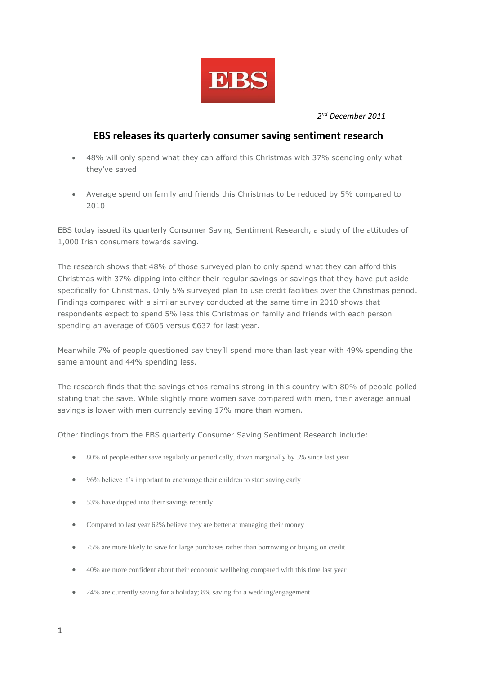

*2 nd December 2011*

## **EBS releases its quarterly consumer saving sentiment research**

- 48% will only spend what they can afford this Christmas with 37% soending only what they've saved
- Average spend on family and friends this Christmas to be reduced by 5% compared to 2010

EBS today issued its quarterly Consumer Saving Sentiment Research, a study of the attitudes of 1,000 Irish consumers towards saving.

The research shows that 48% of those surveyed plan to only spend what they can afford this Christmas with 37% dipping into either their regular savings or savings that they have put aside specifically for Christmas. Only 5% surveyed plan to use credit facilities over the Christmas period. Findings compared with a similar survey conducted at the same time in 2010 shows that respondents expect to spend 5% less this Christmas on family and friends with each person spending an average of €605 versus €637 for last year.

Meanwhile 7% of people questioned say they'll spend more than last year with 49% spending the same amount and 44% spending less.

The research finds that the savings ethos remains strong in this country with 80% of people polled stating that the save. While slightly more women save compared with men, their average annual savings is lower with men currently saving 17% more than women.

Other findings from the EBS quarterly Consumer Saving Sentiment Research include:

- 80% of people either save regularly or periodically, down marginally by 3% since last year
- 96% believe it's important to encourage their children to start saving early
- 53% have dipped into their savings recently
- Compared to last year 62% believe they are better at managing their money
- 75% are more likely to save for large purchases rather than borrowing or buying on credit
- 40% are more confident about their economic wellbeing compared with this time last year
- 24% are currently saving for a holiday; 8% saving for a wedding/engagement